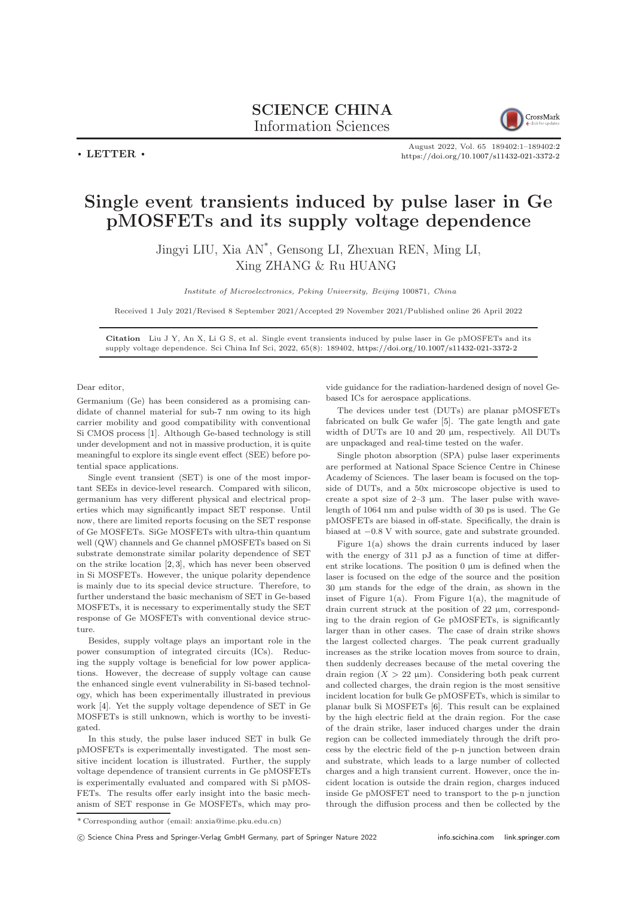## SCIENCE CHINA Information Sciences



 $\cdot$  LETTER  $\cdot$ 

August 2022, Vol. 65 189402:1–189402[:2](#page-1-0) <https://doi.org/10.1007/s11432-021-3372-2>

## Single event transients induced by pulse laser in Ge pMOSFETs and its supply voltage dependence

Jingyi LIU, Xia AN\* , Gensong LI, Zhexuan REN, Ming LI, Xing ZHANG & Ru HUANG

Institute of Microelectronics, Peking University, Beijing 100871, China

Received 1 July 2021/Revised 8 September 2021/Accepted 29 November 2021/Published online 26 April 2022

Citation Liu J Y, An X, Li G S, et al. Single event transients induced by pulse laser in Ge pMOSFETs and its supply voltage dependence. Sci China Inf Sci, 2022, 65(8): 189402, <https://doi.org/10.1007/s11432-021-3372-2>

Dear editor,

Germanium (Ge) has been considered as a promising candidate of channel material for sub-7 nm owing to its high carrier mobility and good compatibility with conventional Si CMOS process [\[1\]](#page-1-1). Although Ge-based technology is still under development and not in massive production, it is quite meaningful to explore its single event effect (SEE) before potential space applications.

Single event transient (SET) is one of the most important SEEs in device-level research. Compared with silicon, germanium has very different physical and electrical properties which may significantly impact SET response. Until now, there are limited reports focusing on the SET response of Ge MOSFETs. SiGe MOSFETs with ultra-thin quantum well (QW) channels and Ge channel pMOSFETs based on Si substrate demonstrate similar polarity dependence of SET on the strike location [\[2,](#page-1-2) [3\]](#page-1-3), which has never been observed in Si MOSFETs. However, the unique polarity dependence is mainly due to its special device structure. Therefore, to further understand the basic mechanism of SET in Ge-based MOSFETs, it is necessary to experimentally study the SET response of Ge MOSFETs with conventional device structure.

Besides, supply voltage plays an important role in the power consumption of integrated circuits (ICs). Reducing the supply voltage is beneficial for low power applications. However, the decrease of supply voltage can cause the enhanced single event vulnerability in Si-based technology, which has been experimentally illustrated in previous work [\[4\]](#page-1-4). Yet the supply voltage dependence of SET in Ge MOSFETs is still unknown, which is worthy to be investigated.

In this study, the pulse laser induced SET in bulk Ge pMOSFETs is experimentally investigated. The most sensitive incident location is illustrated. Further, the supply voltage dependence of transient currents in Ge pMOSFETs is experimentally evaluated and compared with Si pMOS-FETs. The results offer early insight into the basic mechanism of SET response in Ge MOSFETs, which may provide guidance for the radiation-hardened design of novel Gebased ICs for aerospace applications.

The devices under test (DUTs) are planar pMOSFETs fabricated on bulk Ge wafer [\[5\]](#page-1-5). The gate length and gate width of DUTs are 10 and 20  $\mu$ m, respectively. All DUTs are unpackaged and real-time tested on the wafer.

Single photon absorption (SPA) pulse laser experiments are performed at National Space Science Centre in Chinese Academy of Sciences. The laser beam is focused on the topside of DUTs, and a 50x microscope objective is used to create a spot size of  $2-3 \mu m$ . The laser pulse with wavelength of 1064 nm and pulse width of 30 ps is used. The Ge pMOSFETs are biased in off-state. Specifically, the drain is biased at −0.8 V with source, gate and substrate grounded.

Figure 1(a) shows the drain currents induced by laser with the energy of 311 pJ as a function of time at different strike locations. The position  $0 \mu m$  is defined when the laser is focused on the edge of the source and the position 30 µm stands for the edge of the drain, as shown in the inset of Figure 1(a). From Figure 1(a), the magnitude of drain current struck at the position of 22 µm, corresponding to the drain region of Ge pMOSFETs, is significantly larger than in other cases. The case of drain strike shows the largest collected charges. The peak current gradually increases as the strike location moves from source to drain, then suddenly decreases because of the metal covering the drain region  $(X > 22 \mu m)$ . Considering both peak current and collected charges, the drain region is the most sensitive incident location for bulk Ge pMOSFETs, which is similar to planar bulk Si MOSFETs [\[6\]](#page-1-6). This result can be explained by the high electric field at the drain region. For the case of the drain strike, laser induced charges under the drain region can be collected immediately through the drift process by the electric field of the p-n junction between drain and substrate, which leads to a large number of collected charges and a high transient current. However, once the incident location is outside the drain region, charges induced inside Ge pMOSFET need to transport to the p-n junction through the diffusion process and then be collected by the

<sup>\*</sup> Corresponding author (email: anxia@ime.pku.edu.cn)

c Science China Press and Springer-Verlag GmbH Germany, part of Springer Nature 2022 <info.scichina.com><link.springer.com>